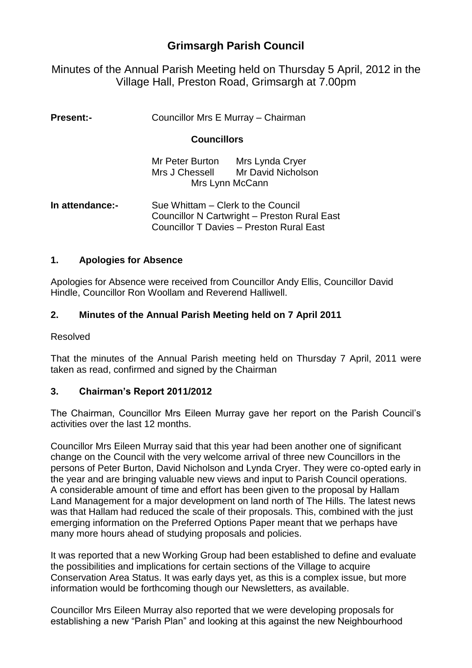# **Grimsargh Parish Council**

Minutes of the Annual Parish Meeting held on Thursday 5 April, 2012 in the Village Hall, Preston Road, Grimsargh at 7.00pm

| <b>Present:-</b> | Councillor Mrs E Murray - Chairman<br><b>Councillors</b>                                                                                     |                                                          |
|------------------|----------------------------------------------------------------------------------------------------------------------------------------------|----------------------------------------------------------|
|                  |                                                                                                                                              |                                                          |
|                  | Mr Peter Burton<br>Mrs J Chessell                                                                                                            | Mrs Lynda Cryer<br>Mr David Nicholson<br>Mrs Lynn McCann |
| In attendance:-  | Sue Whittam – Clerk to the Council<br><b>Councillor N Cartwright - Preston Rural East</b><br><b>Councillor T Davies - Preston Rural East</b> |                                                          |

#### **1. Apologies for Absence**

Apologies for Absence were received from Councillor Andy Ellis, Councillor David Hindle, Councillor Ron Woollam and Reverend Halliwell.

## **2. Minutes of the Annual Parish Meeting held on 7 April 2011**

Resolved

That the minutes of the Annual Parish meeting held on Thursday 7 April, 2011 were taken as read, confirmed and signed by the Chairman

#### **3. Chairman's Report 2011/2012**

The Chairman, Councillor Mrs Eileen Murray gave her report on the Parish Council's activities over the last 12 months.

Councillor Mrs Eileen Murray said that this year had been another one of significant change on the Council with the very welcome arrival of three new Councillors in the persons of Peter Burton, David Nicholson and Lynda Cryer. They were co-opted early in the year and are bringing valuable new views and input to Parish Council operations. A considerable amount of time and effort has been given to the proposal by Hallam Land Management for a major development on land north of The Hills. The latest news was that Hallam had reduced the scale of their proposals. This, combined with the just emerging information on the Preferred Options Paper meant that we perhaps have many more hours ahead of studying proposals and policies.

It was reported that a new Working Group had been established to define and evaluate the possibilities and implications for certain sections of the Village to acquire Conservation Area Status. It was early days yet, as this is a complex issue, but more information would be forthcoming though our Newsletters, as available.

Councillor Mrs Eileen Murray also reported that we were developing proposals for establishing a new "Parish Plan" and looking at this against the new Neighbourhood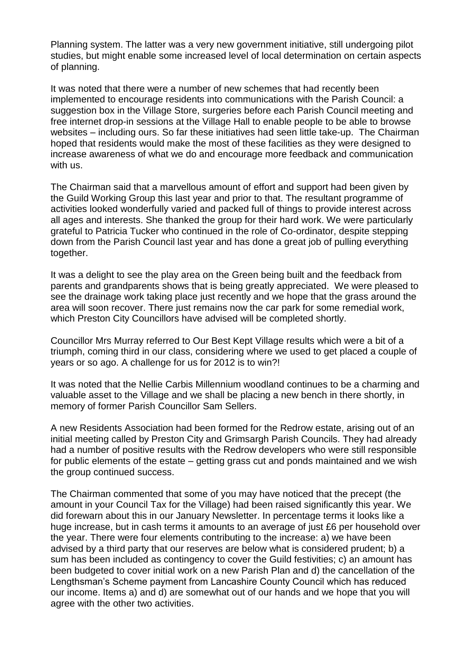Planning system. The latter was a very new government initiative, still undergoing pilot studies, but might enable some increased level of local determination on certain aspects of planning.

It was noted that there were a number of new schemes that had recently been implemented to encourage residents into communications with the Parish Council: a suggestion box in the Village Store, surgeries before each Parish Council meeting and free internet drop-in sessions at the Village Hall to enable people to be able to browse websites – including ours. So far these initiatives had seen little take-up. The Chairman hoped that residents would make the most of these facilities as they were designed to increase awareness of what we do and encourage more feedback and communication with us.

The Chairman said that a marvellous amount of effort and support had been given by the Guild Working Group this last year and prior to that. The resultant programme of activities looked wonderfully varied and packed full of things to provide interest across all ages and interests. She thanked the group for their hard work. We were particularly grateful to Patricia Tucker who continued in the role of Co-ordinator, despite stepping down from the Parish Council last year and has done a great job of pulling everything together.

It was a delight to see the play area on the Green being built and the feedback from parents and grandparents shows that is being greatly appreciated. We were pleased to see the drainage work taking place just recently and we hope that the grass around the area will soon recover. There just remains now the car park for some remedial work, which Preston City Councillors have advised will be completed shortly.

Councillor Mrs Murray referred to Our Best Kept Village results which were a bit of a triumph, coming third in our class, considering where we used to get placed a couple of years or so ago. A challenge for us for 2012 is to win?!

It was noted that the Nellie Carbis Millennium woodland continues to be a charming and valuable asset to the Village and we shall be placing a new bench in there shortly, in memory of former Parish Councillor Sam Sellers.

A new Residents Association had been formed for the Redrow estate, arising out of an initial meeting called by Preston City and Grimsargh Parish Councils. They had already had a number of positive results with the Redrow developers who were still responsible for public elements of the estate – getting grass cut and ponds maintained and we wish the group continued success.

The Chairman commented that some of you may have noticed that the precept (the amount in your Council Tax for the Village) had been raised significantly this year. We did forewarn about this in our January Newsletter. In percentage terms it looks like a huge increase, but in cash terms it amounts to an average of just £6 per household over the year. There were four elements contributing to the increase: a) we have been advised by a third party that our reserves are below what is considered prudent; b) a sum has been included as contingency to cover the Guild festivities; c) an amount has been budgeted to cover initial work on a new Parish Plan and d) the cancellation of the Lengthsman's Scheme payment from Lancashire County Council which has reduced our income. Items a) and d) are somewhat out of our hands and we hope that you will agree with the other two activities.